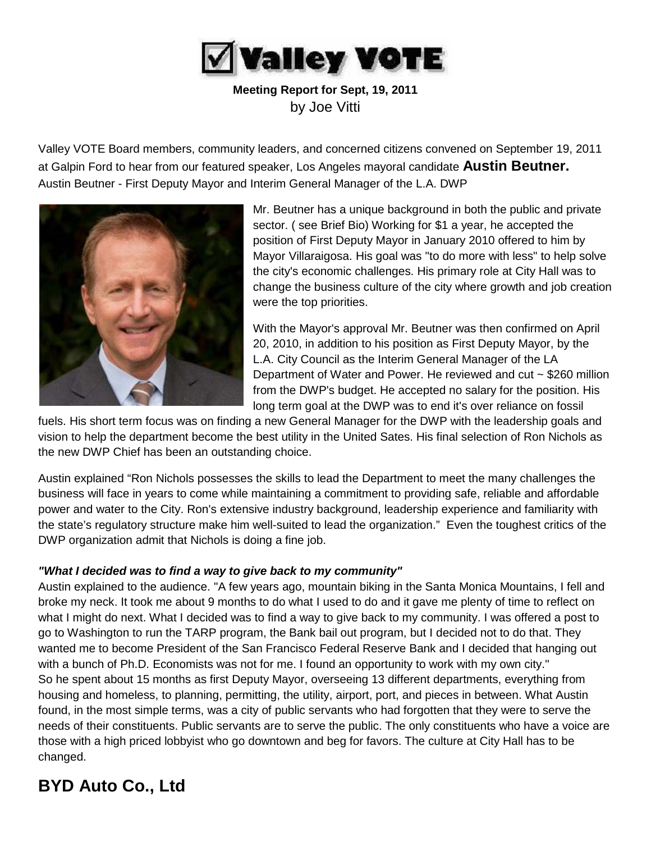

**Meeting Report for Sept, 19, 2011** by Joe Vitti

Valley VOTE Board members, community leaders, and concerned citizens convened on September 19, 2011 at Galpin Ford to hear from our featured speaker, Los Angeles mayoral candidate **Austin Beutner.**  Austin Beutner - First Deputy Mayor and Interim General Manager of the L.A. DWP



Mr. Beutner has a unique background in both the public and private sector. ( see Brief Bio) Working for \$1 a year, he accepted the position of First Deputy Mayor in January 2010 offered to him by Mayor Villaraigosa. His goal was "to do more with less" to help solve the city's economic challenges. His primary role at City Hall was to change the business culture of the city where growth and job creation were the top priorities.

With the Mayor's approval Mr. Beutner was then confirmed on April 20, 2010, in addition to his position as First Deputy Mayor, by the L.A. City Council as the Interim General Manager of the LA Department of Water and Power. He reviewed and cut ~ \$260 million from the DWP's budget. He accepted no salary for the position. His long term goal at the DWP was to end it's over reliance on fossil

fuels. His short term focus was on finding a new General Manager for the DWP with the leadership goals and vision to help the department become the best utility in the United Sates. His final selection of Ron Nichols as the new DWP Chief has been an outstanding choice.

Austin explained "Ron Nichols possesses the skills to lead the Department to meet the many challenges the business will face in years to come while maintaining a commitment to providing safe, reliable and affordable power and water to the City. Ron's extensive industry background, leadership experience and familiarity with the state's regulatory structure make him well-suited to lead the organization." Even the toughest critics of the DWP organization admit that Nichols is doing a fine job.

#### *"What I decided was to find a way to give back to my community"*

Austin explained to the audience. "A few years ago, mountain biking in the Santa Monica Mountains, I fell and broke my neck. It took me about 9 months to do what I used to do and it gave me plenty of time to reflect on what I might do next. What I decided was to find a way to give back to my community. I was offered a post to go to Washington to run the TARP program, the Bank bail out program, but I decided not to do that. They wanted me to become President of the San Francisco Federal Reserve Bank and I decided that hanging out with a bunch of Ph.D. Economists was not for me. I found an opportunity to work with my own city." So he spent about 15 months as first Deputy Mayor, overseeing 13 different departments, everything from housing and homeless, to planning, permitting, the utility, airport, port, and pieces in between. What Austin found, in the most simple terms, was a city of public servants who had forgotten that they were to serve the needs of their constituents. Public servants are to serve the public. The only constituents who have a voice are those with a high priced lobbyist who go downtown and beg for favors. The culture at City Hall has to be changed.

## **BYD Auto Co., Ltd**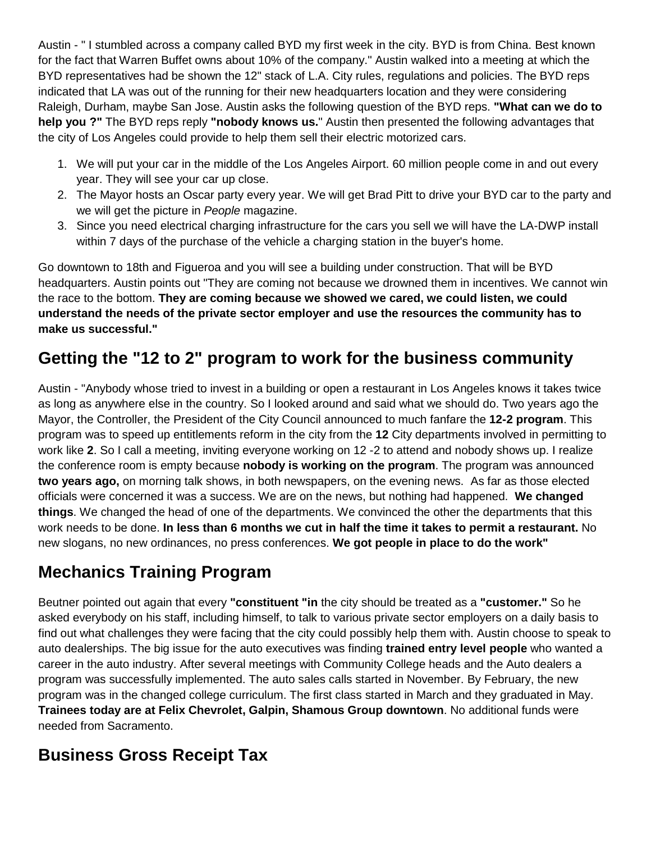Austin - " I stumbled across a company called BYD my first week in the city. BYD is from China. Best known for the fact that Warren Buffet owns about 10% of the company." Austin walked into a meeting at which the BYD representatives had be shown the 12" stack of L.A. City rules, regulations and policies. The BYD reps indicated that LA was out of the running for their new headquarters location and they were considering Raleigh, Durham, maybe San Jose. Austin asks the following question of the BYD reps. **"What can we do to help you ?"** The BYD reps reply **"nobody knows us.**" Austin then presented the following advantages that the city of Los Angeles could provide to help them sell their electric motorized cars.

- 1. We will put your car in the middle of the Los Angeles Airport. 60 million people come in and out every year. They will see your car up close.
- 2. The Mayor hosts an Oscar party every year. We will get Brad Pitt to drive your BYD car to the party and we will get the picture in *People* magazine.
- 3. Since you need electrical charging infrastructure for the cars you sell we will have the LA-DWP install within 7 days of the purchase of the vehicle a charging station in the buyer's home.

Go downtown to 18th and Figueroa and you will see a building under construction. That will be BYD headquarters. Austin points out "They are coming not because we drowned them in incentives. We cannot win the race to the bottom. **They are coming because we showed we cared, we could listen, we could understand the needs of the private sector employer and use the resources the community has to make us successful."**

# **Getting the "12 to 2" program to work for the business community**

Austin - "Anybody whose tried to invest in a building or open a restaurant in Los Angeles knows it takes twice as long as anywhere else in the country. So I looked around and said what we should do. Two years ago the Mayor, the Controller, the President of the City Council announced to much fanfare the **12-2 program**. This program was to speed up entitlements reform in the city from the **12** City departments involved in permitting to work like **2**. So I call a meeting, inviting everyone working on 12 -2 to attend and nobody shows up. I realize the conference room is empty because **nobody is working on the program**. The program was announced **two years ago,** on morning talk shows, in both newspapers, on the evening news. As far as those elected officials were concerned it was a success. We are on the news, but nothing had happened. **We changed things**. We changed the head of one of the departments. We convinced the other the departments that this work needs to be done. **In less than 6 months we cut in half the time it takes to permit a restaurant.** No new slogans, no new ordinances, no press conferences. **We got people in place to do the work"**

## **Mechanics Training Program**

Beutner pointed out again that every **"constituent "in** the city should be treated as a **"customer."** So he asked everybody on his staff, including himself, to talk to various private sector employers on a daily basis to find out what challenges they were facing that the city could possibly help them with. Austin choose to speak to auto dealerships. The big issue for the auto executives was finding **trained entry level people** who wanted a career in the auto industry. After several meetings with Community College heads and the Auto dealers a program was successfully implemented. The auto sales calls started in November. By February, the new program was in the changed college curriculum. The first class started in March and they graduated in May. **Trainees today are at Felix Chevrolet, Galpin, Shamous Group downtown**. No additional funds were needed from Sacramento.

## **Business Gross Receipt Tax**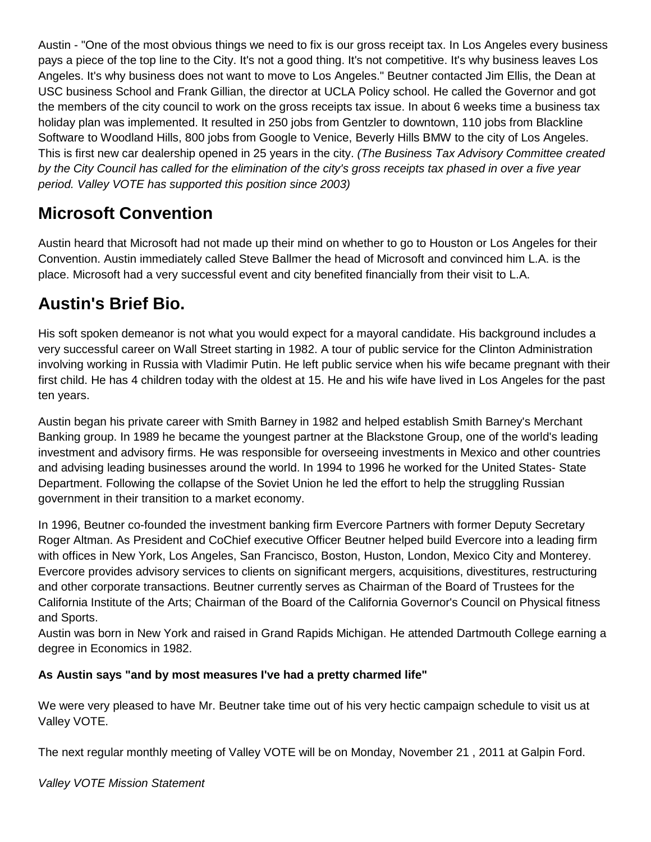Austin - "One of the most obvious things we need to fix is our gross receipt tax. In Los Angeles every business pays a piece of the top line to the City. It's not a good thing. It's not competitive. It's why business leaves Los Angeles. It's why business does not want to move to Los Angeles." Beutner contacted Jim Ellis, the Dean at USC business School and Frank Gillian, the director at UCLA Policy school. He called the Governor and got the members of the city council to work on the gross receipts tax issue. In about 6 weeks time a business tax holiday plan was implemented. It resulted in 250 jobs from Gentzler to downtown, 110 jobs from Blackline Software to Woodland Hills, 800 jobs from Google to Venice, Beverly Hills BMW to the city of Los Angeles. This is first new car dealership opened in 25 years in the city. *(The Business Tax Advisory Committee created by the City Council has called for the elimination of the city's gross receipts tax phased in over a five year period. Valley VOTE has supported this position since 2003)*

#### **Microsoft Convention**

Austin heard that Microsoft had not made up their mind on whether to go to Houston or Los Angeles for their Convention. Austin immediately called Steve Ballmer the head of Microsoft and convinced him L.A. is the place. Microsoft had a very successful event and city benefited financially from their visit to L.A.

## **Austin's Brief Bio.**

His soft spoken demeanor is not what you would expect for a mayoral candidate. His background includes a very successful career on Wall Street starting in 1982. A tour of public service for the Clinton Administration involving working in Russia with Vladimir Putin. He left public service when his wife became pregnant with their first child. He has 4 children today with the oldest at 15. He and his wife have lived in Los Angeles for the past ten years.

Austin began his private career with Smith Barney in 1982 and helped establish Smith Barney's Merchant Banking group. In 1989 he became the youngest partner at the Blackstone Group, one of the world's leading investment and advisory firms. He was responsible for overseeing investments in Mexico and other countries and advising leading businesses around the world. In 1994 to 1996 he worked for the United States- State Department. Following the collapse of the Soviet Union he led the effort to help the struggling Russian government in their transition to a market economy.

In 1996, Beutner co-founded the investment banking firm Evercore Partners with former Deputy Secretary Roger Altman. As President and CoChief executive Officer Beutner helped build Evercore into a leading firm with offices in New York, Los Angeles, San Francisco, Boston, Huston, London, Mexico City and Monterey. Evercore provides advisory services to clients on significant mergers, acquisitions, divestitures, restructuring and other corporate transactions. Beutner currently serves as Chairman of the Board of Trustees for the California Institute of the Arts; Chairman of the Board of the California Governor's Council on Physical fitness and Sports.

Austin was born in New York and raised in Grand Rapids Michigan. He attended Dartmouth College earning a degree in Economics in 1982.

#### **As Austin says "and by most measures I've had a pretty charmed life"**

We were very pleased to have Mr. Beutner take time out of his very hectic campaign schedule to visit us at Valley VOTE.

The next regular monthly meeting of Valley VOTE will be on Monday, November 21 , 2011 at Galpin Ford.